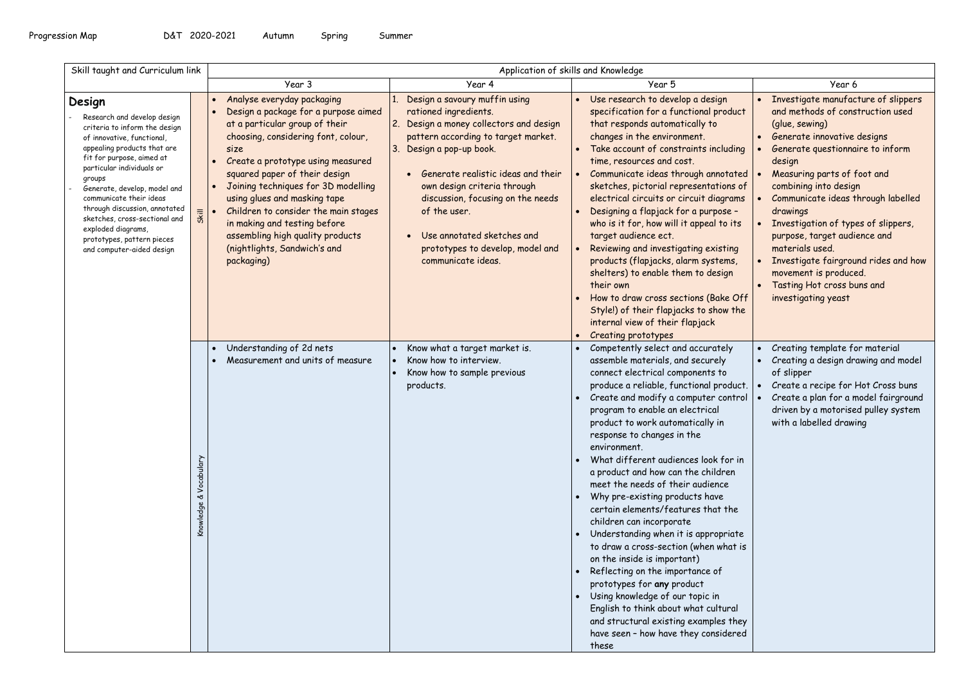| Skill taught and Curriculum link                                                                                                                                                                                                                                                                                                                                                                                      |                              | Application of skills and Knowledge                                                                                                                                                                                                                                                                                                                                                                                                                                                                            |                                                                                                                                                                                                                                                                                                                                                                                        |                                                                                                                                                                                                                                                                                                                                                                                                                                                                                                                                                                                                                                                                                                                                                                                                                                                                                               |                                                                                                                                                                                                                                                                                                                                                                                                                                                                                                  |  |
|-----------------------------------------------------------------------------------------------------------------------------------------------------------------------------------------------------------------------------------------------------------------------------------------------------------------------------------------------------------------------------------------------------------------------|------------------------------|----------------------------------------------------------------------------------------------------------------------------------------------------------------------------------------------------------------------------------------------------------------------------------------------------------------------------------------------------------------------------------------------------------------------------------------------------------------------------------------------------------------|----------------------------------------------------------------------------------------------------------------------------------------------------------------------------------------------------------------------------------------------------------------------------------------------------------------------------------------------------------------------------------------|-----------------------------------------------------------------------------------------------------------------------------------------------------------------------------------------------------------------------------------------------------------------------------------------------------------------------------------------------------------------------------------------------------------------------------------------------------------------------------------------------------------------------------------------------------------------------------------------------------------------------------------------------------------------------------------------------------------------------------------------------------------------------------------------------------------------------------------------------------------------------------------------------|--------------------------------------------------------------------------------------------------------------------------------------------------------------------------------------------------------------------------------------------------------------------------------------------------------------------------------------------------------------------------------------------------------------------------------------------------------------------------------------------------|--|
|                                                                                                                                                                                                                                                                                                                                                                                                                       |                              | Year 3                                                                                                                                                                                                                                                                                                                                                                                                                                                                                                         | Year 4                                                                                                                                                                                                                                                                                                                                                                                 | Year 5                                                                                                                                                                                                                                                                                                                                                                                                                                                                                                                                                                                                                                                                                                                                                                                                                                                                                        | Year 6                                                                                                                                                                                                                                                                                                                                                                                                                                                                                           |  |
| Design<br>Research and develop design<br>criteria to inform the design<br>of innovative, functional,<br>appealing products that are<br>fit for purpose, aimed at<br>particular individuals or<br>groups<br>Generate, develop, model and<br>communicate their ideas<br>through discussion, annotated<br>sketches, cross-sectional and<br>exploded diagrams,<br>prototypes, pattern pieces<br>and computer-aided design | Skill                        | Analyse everyday packaging<br>$\bullet$<br>Design a package for a purpose aimed<br>$\bullet$<br>at a particular group of their<br>choosing, considering font, colour,<br>size<br>Create a prototype using measured<br>$\bullet$<br>squared paper of their design<br>Joining techniques for 3D modelling<br>$\bullet$<br>using glues and masking tape<br>Children to consider the main stages<br>in making and testing before<br>assembling high quality products<br>(nightlights, Sandwich's and<br>packaging) | Design a savoury muffin using<br>rationed ingredients.<br>2. Design a money collectors and design<br>pattern according to target market.<br>3. Design a pop-up book.<br>Generate realistic ideas and their<br>own design criteria through<br>discussion, focusing on the needs<br>of the user.<br>Use annotated sketches and<br>prototypes to develop, model and<br>communicate ideas. | Use research to develop a design<br>specification for a functional product<br>that responds automatically to<br>changes in the environment.<br>Take account of constraints including<br>time, resources and cost.<br>Communicate ideas through annotated<br>sketches, pictorial representations of<br>electrical circuits or circuit diagrams<br>Designing a flapjack for a purpose -<br>who is it for, how will it appeal to its<br>target audience ect.<br>Reviewing and investigating existing<br>products (flapjacks, alarm systems,<br>shelters) to enable them to design<br>their own<br>How to draw cross sections (Bake Off<br>Style!) of their flapjacks to show the<br>internal view of their flapjack<br>Creating prototypes                                                                                                                                                       | Investigate manufacture of slippers<br>and methods of construction used<br>(glue, sewing)<br>Generate innovative designs<br>Generate questionnaire to inform<br>design<br>Measuring parts of foot and<br>combining into design<br>Communicate ideas through labelled<br>drawings<br>Investigation of types of slippers,<br>purpose, target audience and<br>materials used.<br>Investigate fairground rides and how<br>movement is produced.<br>Tasting Hot cross buns and<br>investigating yeast |  |
|                                                                                                                                                                                                                                                                                                                                                                                                                       | Vocabulary<br>৺<br>Knowledge | Understanding of 2d nets<br>$\bullet$<br>Measurement and units of measure<br>$\bullet$                                                                                                                                                                                                                                                                                                                                                                                                                         | Know what a target market is.<br>Know how to interview.<br>Know how to sample previous<br>products.                                                                                                                                                                                                                                                                                    | Competently select and accurately<br>assemble materials, and securely<br>connect electrical components to<br>produce a reliable, functional product.<br>Create and modify a computer control<br>program to enable an electrical<br>product to work automatically in<br>response to changes in the<br>environment.<br>What different audiences look for in<br>a product and how can the children<br>meet the needs of their audience<br>Why pre-existing products have<br>certain elements/features that the<br>children can incorporate<br>Understanding when it is appropriate<br>to draw a cross-section (when what is<br>on the inside is important)<br>Reflecting on the importance of<br>prototypes for any product<br>Using knowledge of our topic in<br>English to think about what cultural<br>and structural existing examples they<br>have seen - how have they considered<br>these | Creating template for material<br>Creating a design drawing and model<br>of slipper<br>Create a recipe for Hot Cross buns<br>Create a plan for a model fairground<br>driven by a motorised pulley system<br>with a labelled drawing                                                                                                                                                                                                                                                              |  |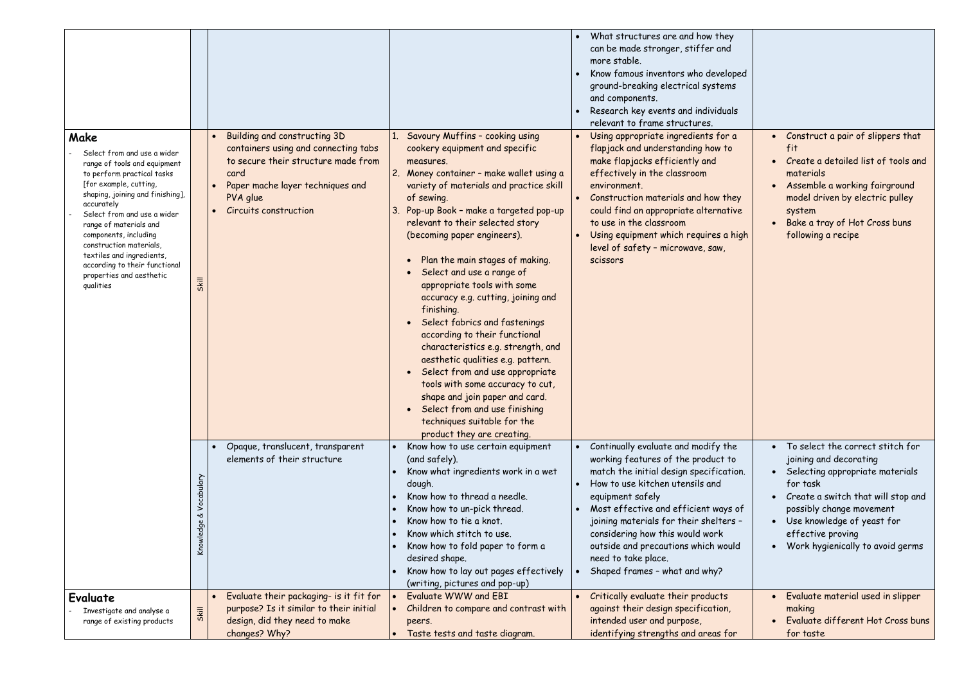|                                                                                                                                                                                                                                                                                                                                                                                                   | Building and constructing 3D                                                                                                                                          | Savoury Muffins - cooking using                                                                                                                                                                                                                                                                                                                                                                                                                                                                                                                                                                                                                                                                                                                                 | What structures are and how they<br>can be made stronger, stiffer and<br>more stable.<br>Know famous inventors who developed<br>ground-breaking electrical systems<br>and components.<br>Research key events and individuals<br>relevant to frame structures.<br>Using appropriate ingredients for a                                                                                            | • Construct a pair of slippers that                                                                                                                                                                                                                                    |
|---------------------------------------------------------------------------------------------------------------------------------------------------------------------------------------------------------------------------------------------------------------------------------------------------------------------------------------------------------------------------------------------------|-----------------------------------------------------------------------------------------------------------------------------------------------------------------------|-----------------------------------------------------------------------------------------------------------------------------------------------------------------------------------------------------------------------------------------------------------------------------------------------------------------------------------------------------------------------------------------------------------------------------------------------------------------------------------------------------------------------------------------------------------------------------------------------------------------------------------------------------------------------------------------------------------------------------------------------------------------|-------------------------------------------------------------------------------------------------------------------------------------------------------------------------------------------------------------------------------------------------------------------------------------------------------------------------------------------------------------------------------------------------|------------------------------------------------------------------------------------------------------------------------------------------------------------------------------------------------------------------------------------------------------------------------|
| Make<br>Select from and use a wider<br>range of tools and equipment<br>to perform practical tasks<br>[for example, cutting,<br>shaping, joining and finishing],<br>accurately<br>Select from and use a wider<br>range of materials and<br>components, including<br>construction materials,<br>textiles and ingredients,<br>according to their functional<br>properties and aesthetic<br>qualities | containers using and connecting tabs<br>to secure their structure made from<br>card<br>Paper mache layer techniques and<br>PVA glue<br>Circuits construction<br>Skill | cookery equipment and specific<br>measures.<br>Money container - make wallet using a<br>variety of materials and practice skill<br>of sewing.<br>Pop-up Book - make a targeted pop-up<br>relevant to their selected story<br>(becoming paper engineers).<br>Plan the main stages of making.<br>Select and use a range of<br>appropriate tools with some<br>accuracy e.g. cutting, joining and<br>finishing.<br>Select fabrics and fastenings<br>according to their functional<br>characteristics e.g. strength, and<br>aesthetic qualities e.g. pattern.<br>Select from and use appropriate<br>tools with some accuracy to cut,<br>shape and join paper and card.<br>Select from and use finishing<br>techniques suitable for the<br>product they are creating. | flapjack and understanding how to<br>make flapjacks efficiently and<br>effectively in the classroom<br>environment.<br>Construction materials and how they<br>could find an appropriate alternative<br>to use in the classroom<br>Using equipment which requires a high<br>level of safety - microwave, saw,<br>scissors                                                                        | fit<br>Create a detailed list of tools and<br>materials<br>Assemble a working fairground<br>model driven by electric pulley<br>system<br>Bake a tray of Hot Cross buns<br>following a recipe                                                                           |
|                                                                                                                                                                                                                                                                                                                                                                                                   | Opaque, translucent, transparent<br>elements of their structure                                                                                                       | Know how to use certain equipment<br>(and safely).<br>Know what ingredients work in a wet<br>dough.<br>Know how to thread a needle.<br>Know how to un-pick thread.<br>Know how to tie a knot.<br>Know which stitch to use.<br>Know how to fold paper to form a<br>desired shape.<br>Know how to lay out pages effectively<br>(writing, pictures and pop-up)                                                                                                                                                                                                                                                                                                                                                                                                     | Continually evaluate and modify the<br>working features of the product to<br>match the initial design specification.<br>How to use kitchen utensils and<br>equipment safely<br>Most effective and efficient ways of<br>joining materials for their shelters -<br>considering how this would work<br>outside and precautions which would<br>need to take place.<br>Shaped frames - what and why? | • To select the correct stitch for<br>joining and decorating<br>• Selecting appropriate materials<br>for task<br>Create a switch that will stop and<br>possibly change movement<br>Use knowledge of yeast for<br>effective proving<br>Work hygienically to avoid germs |
| Evaluate<br>Investigate and analyse a<br>range of existing products                                                                                                                                                                                                                                                                                                                               | Evaluate their packaging- is it fit for<br>purpose? Is it similar to their initial<br>Skill<br>design, did they need to make<br>changes? Why?                         | Evaluate WWW and EBI<br>Children to compare and contrast with<br>peers.<br>Taste tests and taste diagram.                                                                                                                                                                                                                                                                                                                                                                                                                                                                                                                                                                                                                                                       | Critically evaluate their products<br>against their design specification,<br>intended user and purpose,<br>identifying strengths and areas for                                                                                                                                                                                                                                                  | Evaluate material used in slipper<br>making<br>Evaluate different Hot Cross buns<br>for taste                                                                                                                                                                          |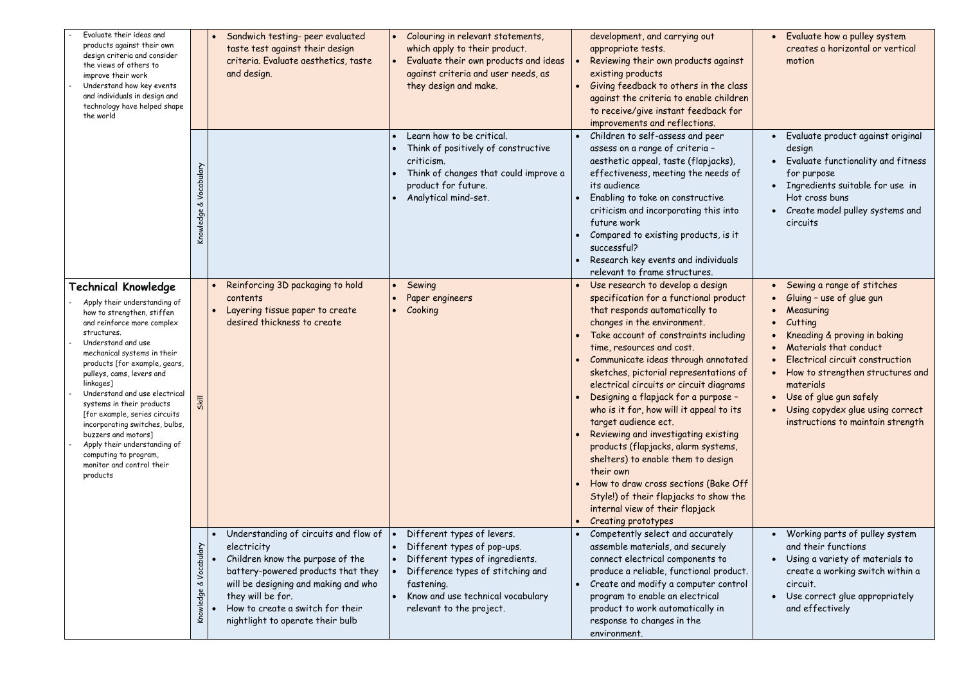| Evaluate their ideas and<br>products against their own<br>design criteria and consider<br>the views of others to<br>improve their work<br>Understand how key events<br>and individuals in design and<br>technology have helped shape<br>the world                                                                                                                                                                                                                                                                               | Sandwich testing- peer evaluated<br>Colouring in relevant statements,<br>taste test against their design<br>which apply to their product.<br>criteria. Evaluate aesthetics, taste<br>Evaluate their own products and ideas<br>$\bullet$<br>against criteria and user needs, as<br>and design.<br>they design and make.                                                                                                                                                                                                    | development, and carrying out<br>appropriate tests.<br>Reviewing their own products against<br>existing products<br>Giving feedback to others in the class<br>against the criteria to enable children<br>to receive/give instant feedback for<br>improvements and reflections.                                                                                                                                                                                                                                                                                                                                                                                                                                                            | Evaluate how a pulley system<br>creates a horizontal or vertical<br>motion                                                                                                                                                                                                                                                      |
|---------------------------------------------------------------------------------------------------------------------------------------------------------------------------------------------------------------------------------------------------------------------------------------------------------------------------------------------------------------------------------------------------------------------------------------------------------------------------------------------------------------------------------|---------------------------------------------------------------------------------------------------------------------------------------------------------------------------------------------------------------------------------------------------------------------------------------------------------------------------------------------------------------------------------------------------------------------------------------------------------------------------------------------------------------------------|-------------------------------------------------------------------------------------------------------------------------------------------------------------------------------------------------------------------------------------------------------------------------------------------------------------------------------------------------------------------------------------------------------------------------------------------------------------------------------------------------------------------------------------------------------------------------------------------------------------------------------------------------------------------------------------------------------------------------------------------|---------------------------------------------------------------------------------------------------------------------------------------------------------------------------------------------------------------------------------------------------------------------------------------------------------------------------------|
|                                                                                                                                                                                                                                                                                                                                                                                                                                                                                                                                 | Learn how to be critical.<br>Think of positively of constructive<br>criticism.<br>Vocabulary<br>Think of changes that could improve a<br>product for future.<br>Analytical mind-set.<br>ৼ<br>Knowledge                                                                                                                                                                                                                                                                                                                    | Children to self-assess and peer<br>assess on a range of criteria -<br>aesthetic appeal, taste (flapjacks),<br>effectiveness, meeting the needs of<br>its audience<br>Enabling to take on constructive<br>criticism and incorporating this into<br>future work<br>Compared to existing products, is it<br>successful?<br>Research key events and individuals<br>relevant to frame structures.                                                                                                                                                                                                                                                                                                                                             | Evaluate product against original<br>design<br>Evaluate functionality and fitness<br>for purpose<br>• Ingredients suitable for use in<br>Hot cross buns<br>• Create model pulley systems and<br>circuits                                                                                                                        |
| <b>Technical Knowledge</b><br>Apply their understanding of<br>how to strengthen, stiffen<br>and reinforce more complex<br>structures.<br>Understand and use<br>mechanical systems in their<br>products [for example, gears,<br>pulleys, cams, levers and<br>linkages]<br>Understand and use electrical<br>systems in their products<br>[for example, series circuits<br>incorporating switches, bulbs,<br>buzzers and motors]<br>Apply their understanding of<br>computing to program,<br>monitor and control their<br>products | Reinforcing 3D packaging to hold<br>Sewing<br>Paper engineers<br>contents<br>Cooking<br>Layering tissue paper to create<br>desired thickness to create<br>Skill                                                                                                                                                                                                                                                                                                                                                           | • Use research to develop a design<br>specification for a functional product<br>that responds automatically to<br>changes in the environment.<br>Take account of constraints including<br>time, resources and cost.<br>Communicate ideas through annotated<br>sketches, pictorial representations of<br>electrical circuits or circuit diagrams<br>Designing a flapjack for a purpose -<br>who is it for, how will it appeal to its<br>target audience ect.<br>Reviewing and investigating existing<br>products (flapjacks, alarm systems,<br>shelters) to enable them to design<br>their own<br>How to draw cross sections (Bake Off<br>Style!) of their flapjacks to show the<br>internal view of their flapjack<br>Creating prototypes | Sewing a range of stitches<br>Gluing - use of glue gun<br>Measuring<br>Cutting<br>Kneading & proving in baking<br>Materials that conduct<br>Electrical circuit construction<br>How to strengthen structures and<br>materials<br>Use of glue gun safely<br>Using copydex glue using correct<br>instructions to maintain strength |
|                                                                                                                                                                                                                                                                                                                                                                                                                                                                                                                                 | Understanding of circuits and flow of<br>Different types of levers.<br>Different types of pop-ups.<br>Vocabulary<br>electricity<br>Children know the purpose of the<br>Different types of ingredients.<br>battery-powered products that they<br>Difference types of stitching and<br>will be designing and making and who<br>fastening.<br>প্ত<br>Knowledge<br>they will be for.<br>Know and use technical vocabulary<br>How to create a switch for their<br>relevant to the project.<br>nightlight to operate their bulb | • Competently select and accurately<br>assemble materials, and securely<br>connect electrical components to<br>produce a reliable, functional product.<br>Create and modify a computer control<br>$\bullet$<br>program to enable an electrical<br>product to work automatically in<br>response to changes in the<br>environment.                                                                                                                                                                                                                                                                                                                                                                                                          | Working parts of pulley system<br>and their functions<br>Using a variety of materials to<br>create a working switch within a<br>circuit.<br>Use correct glue appropriately<br>and effectively                                                                                                                                   |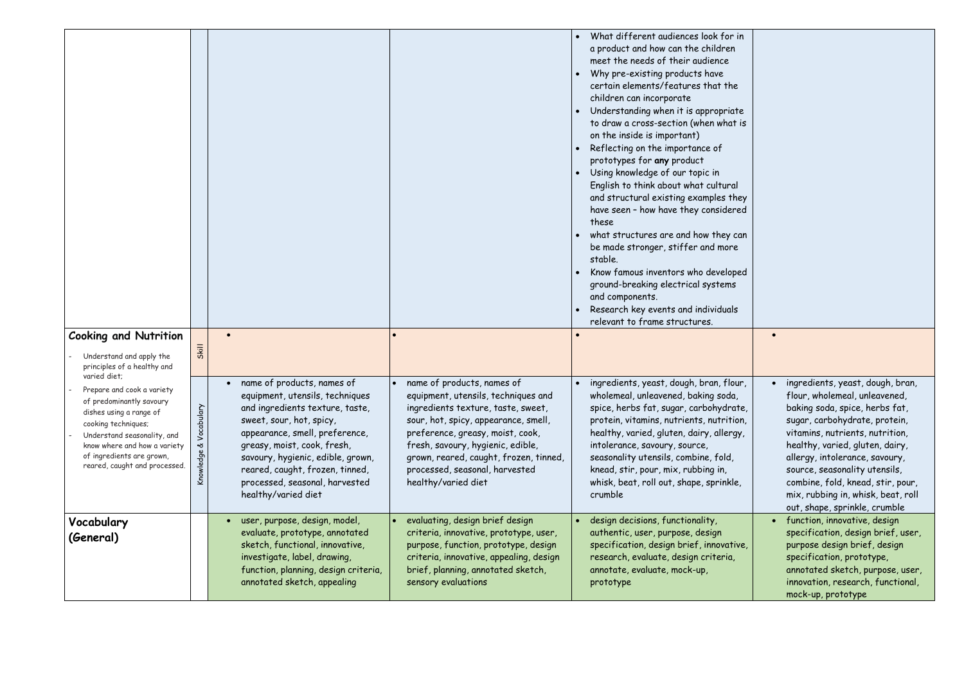|                                                                                                                                                                                                                                       |                                |                                                                                                                                                                                                                                                                                                  |                                                                                                                                                                                                                                                                                               | What different audiences look for in<br>a product and how can the children<br>meet the needs of their audience<br>Why pre-existing products have<br>certain elements/features that the<br>children can incorporate<br>Understanding when it is appropriate<br>to draw a cross-section (when what is<br>on the inside is important)<br>Reflecting on the importance of<br>prototypes for any product<br>Using knowledge of our topic in<br>English to think about what cultural<br>and structural existing examples they<br>have seen - how have they considered<br>these<br>what structures are and how they can<br>be made stronger, stiffer and more<br>stable.<br>Know famous inventors who developed<br>ground-breaking electrical systems<br>and components.<br>Research key events and individuals<br>relevant to frame structures. |                                                                                                                                                                                                                                                                                                                                                       |
|---------------------------------------------------------------------------------------------------------------------------------------------------------------------------------------------------------------------------------------|--------------------------------|--------------------------------------------------------------------------------------------------------------------------------------------------------------------------------------------------------------------------------------------------------------------------------------------------|-----------------------------------------------------------------------------------------------------------------------------------------------------------------------------------------------------------------------------------------------------------------------------------------------|-------------------------------------------------------------------------------------------------------------------------------------------------------------------------------------------------------------------------------------------------------------------------------------------------------------------------------------------------------------------------------------------------------------------------------------------------------------------------------------------------------------------------------------------------------------------------------------------------------------------------------------------------------------------------------------------------------------------------------------------------------------------------------------------------------------------------------------------|-------------------------------------------------------------------------------------------------------------------------------------------------------------------------------------------------------------------------------------------------------------------------------------------------------------------------------------------------------|
| <b>Cooking and Nutrition</b><br>Understand and apply the                                                                                                                                                                              | Skill                          | $\bullet$                                                                                                                                                                                                                                                                                        |                                                                                                                                                                                                                                                                                               |                                                                                                                                                                                                                                                                                                                                                                                                                                                                                                                                                                                                                                                                                                                                                                                                                                           |                                                                                                                                                                                                                                                                                                                                                       |
| principles of a healthy and<br>varied diet;                                                                                                                                                                                           |                                | name of products, names of<br>$\bullet$                                                                                                                                                                                                                                                          | name of products, names of<br>$\bullet$                                                                                                                                                                                                                                                       | · ingredients, yeast, dough, bran, flour,                                                                                                                                                                                                                                                                                                                                                                                                                                                                                                                                                                                                                                                                                                                                                                                                 | • ingredients, yeast, dough, bran,                                                                                                                                                                                                                                                                                                                    |
| Prepare and cook a variety<br>of predominantly savoury<br>dishes using a range of<br>cooking techniques;<br>Understand seasonality, and<br>know where and how a variety<br>of ingredients are grown,<br>reared, caught and processed. | Vocabulary<br>প্ত<br>Knowledge | equipment, utensils, techniques<br>and ingredients texture, taste,<br>sweet, sour, hot, spicy,<br>appearance, smell, preference,<br>greasy, moist, cook, fresh,<br>savoury, hygienic, edible, grown,<br>reared, caught, frozen, tinned,<br>processed, seasonal, harvested<br>healthy/varied diet | equipment, utensils, techniques and<br>ingredients texture, taste, sweet,<br>sour, hot, spicy, appearance, smell,<br>preference, greasy, moist, cook,<br>fresh, savoury, hygienic, edible,<br>grown, reared, caught, frozen, tinned,<br>processed, seasonal, harvested<br>healthy/varied diet | wholemeal, unleavened, baking soda,<br>spice, herbs fat, sugar, carbohydrate,<br>protein, vitamins, nutrients, nutrition,<br>healthy, varied, gluten, dairy, allergy,<br>intolerance, savoury, source,<br>seasonality utensils, combine, fold,<br>knead, stir, pour, mix, rubbing in,<br>whisk, beat, roll out, shape, sprinkle,<br>crumble                                                                                                                                                                                                                                                                                                                                                                                                                                                                                               | flour, wholemeal, unleavened,<br>baking soda, spice, herbs fat,<br>sugar, carbohydrate, protein,<br>vitamins, nutrients, nutrition,<br>healthy, varied, gluten, dairy,<br>allergy, intolerance, savoury,<br>source, seasonality utensils,<br>combine, fold, knead, stir, pour,<br>mix, rubbing in, whisk, beat, roll<br>out, shape, sprinkle, crumble |
| Vocabulary<br>(General)                                                                                                                                                                                                               |                                | user, purpose, design, model,<br>evaluate, prototype, annotated<br>sketch, functional, innovative,<br>investigate, label, drawing,<br>function, planning, design criteria,<br>annotated sketch, appealing                                                                                        | evaluating, design brief design<br>criteria, innovative, prototype, user,<br>purpose, function, prototype, design<br>criteria, innovative, appealing, design<br>brief, planning, annotated sketch,<br>sensory evaluations                                                                     | design decisions, functionality,<br>authentic, user, purpose, design<br>specification, design brief, innovative,<br>research, evaluate, design criteria,<br>annotate, evaluate, mock-up,<br>prototype                                                                                                                                                                                                                                                                                                                                                                                                                                                                                                                                                                                                                                     | • function, innovative, design<br>specification, design brief, user,<br>purpose design brief, design<br>specification, prototype,<br>annotated sketch, purpose, user,<br>innovation, research, functional,<br>mock-up, prototype                                                                                                                      |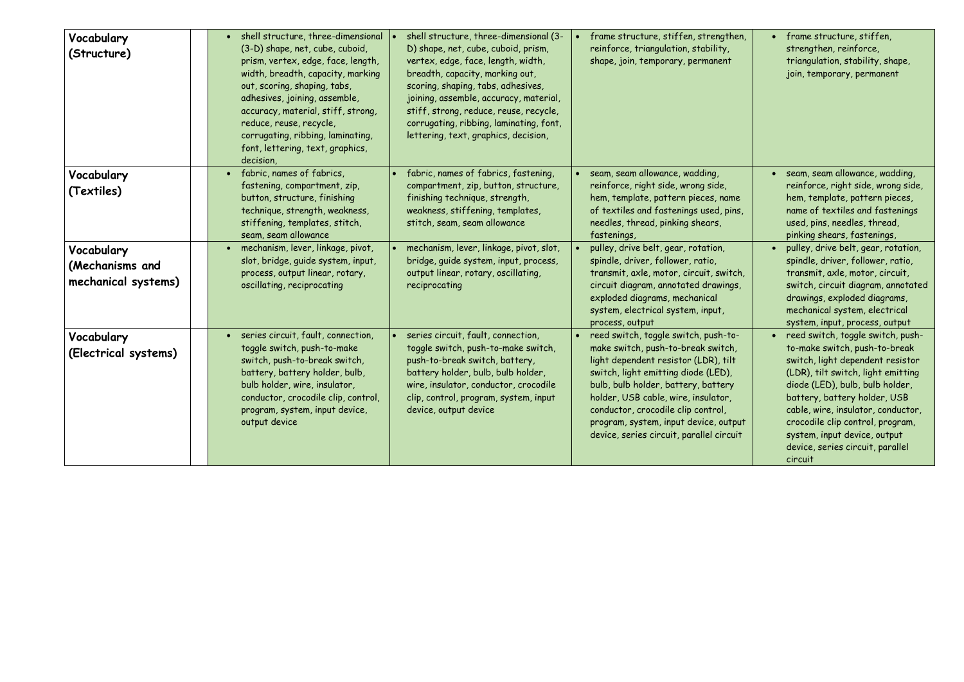| Vocabulary<br>(Structure)                            | • shell structure, three-dimensional<br>(3-D) shape, net, cube, cuboid,<br>prism, vertex, edge, face, length,<br>width, breadth, capacity, marking<br>out, scoring, shaping, tabs,<br>adhesives, joining, assemble,<br>accuracy, material, stiff, strong,<br>reduce, reuse, recycle,<br>corrugating, ribbing, laminating,<br>font, lettering, text, graphics,<br>decision, | shell structure, three-dimensional (3-<br>D) shape, net, cube, cuboid, prism,<br>vertex, edge, face, length, width,<br>breadth, capacity, marking out,<br>scoring, shaping, tabs, adhesives,<br>joining, assemble, accuracy, material,<br>stiff, strong, reduce, reuse, recycle,<br>corrugating, ribbing, laminating, font,<br>lettering, text, graphics, decision, | frame structure, stiffen, strengthen,<br>reinforce, triangulation, stability,<br>shape, join, temporary, permanent                                                                                                                                                                                                                                                   | • frame structure, stiffen,<br>strengthen, reinforce,<br>triangulation, stability, shape,<br>join, temporary, permanent                                                                                                                                                                                                                                                    |
|------------------------------------------------------|----------------------------------------------------------------------------------------------------------------------------------------------------------------------------------------------------------------------------------------------------------------------------------------------------------------------------------------------------------------------------|---------------------------------------------------------------------------------------------------------------------------------------------------------------------------------------------------------------------------------------------------------------------------------------------------------------------------------------------------------------------|----------------------------------------------------------------------------------------------------------------------------------------------------------------------------------------------------------------------------------------------------------------------------------------------------------------------------------------------------------------------|----------------------------------------------------------------------------------------------------------------------------------------------------------------------------------------------------------------------------------------------------------------------------------------------------------------------------------------------------------------------------|
| Vocabulary<br>(Textiles)                             | • fabric, names of fabrics,<br>fastening, compartment, zip,<br>button, structure, finishing<br>technique, strength, weakness,<br>stiffening, templates, stitch,                                                                                                                                                                                                            | fabric, names of fabrics, fastening,<br>compartment, zip, button, structure,<br>finishing technique, strength,<br>weakness, stiffening, templates,<br>stitch, seam, seam allowance                                                                                                                                                                                  | seam, seam allowance, wadding,<br>reinforce, right side, wrong side,<br>hem, template, pattern pieces, name<br>of textiles and fastenings used, pins,<br>needles, thread, pinking shears,                                                                                                                                                                            | • seam, seam allowance, wadding,<br>reinforce, right side, wrong side,<br>hem, template, pattern pieces,<br>name of textiles and fastenings<br>used, pins, needles, thread,                                                                                                                                                                                                |
| Vocabulary<br>(Mechanisms and<br>mechanical systems) | seam, seam allowance<br>• mechanism, lever, linkage, pivot,<br>slot, bridge, guide system, input,<br>process, output linear, rotary,<br>oscillating, reciprocating                                                                                                                                                                                                         | mechanism, lever, linkage, pivot, slot,<br>bridge, guide system, input, process,<br>output linear, rotary, oscillating,<br>reciprocating                                                                                                                                                                                                                            | fastenings,<br>pulley, drive belt, gear, rotation,<br>spindle, driver, follower, ratio,<br>transmit, axle, motor, circuit, switch,<br>circuit diagram, annotated drawings,<br>exploded diagrams, mechanical<br>system, electrical system, input,<br>process, output                                                                                                  | pinking shears, fastenings,<br>· pulley, drive belt, gear, rotation,<br>spindle, driver, follower, ratio,<br>transmit, axle, motor, circuit,<br>switch, circuit diagram, annotated<br>drawings, exploded diagrams,<br>mechanical system, electrical<br>system, input, process, output                                                                                      |
| Vocabulary<br>(Electrical systems)                   | • series circuit, fault, connection,<br>toggle switch, push-to-make<br>switch, push-to-break switch,<br>battery, battery holder, bulb,<br>bulb holder, wire, insulator,<br>conductor, crocodile clip, control,<br>program, system, input device,<br>output device                                                                                                          | series circuit, fault, connection,<br>toggle switch, push-to-make switch,<br>push-to-break switch, battery,<br>battery holder, bulb, bulb holder,<br>wire, insulator, conductor, crocodile<br>clip, control, program, system, input<br>device, output device                                                                                                        | • reed switch, toggle switch, push-to-<br>make switch, push-to-break switch,<br>light dependent resistor (LDR), tilt<br>switch, light emitting diode (LED),<br>bulb, bulb holder, battery, battery<br>holder, USB cable, wire, insulator,<br>conductor, crocodile clip control,<br>program, system, input device, output<br>device, series circuit, parallel circuit | • reed switch, toggle switch, push-<br>to-make switch, push-to-break<br>switch, light dependent resistor<br>(LDR), tilt switch, light emitting<br>diode (LED), bulb, bulb holder,<br>battery, battery holder, USB<br>cable, wire, insulator, conductor,<br>crocodile clip control, program,<br>system, input device, output<br>device, series circuit, parallel<br>circuit |